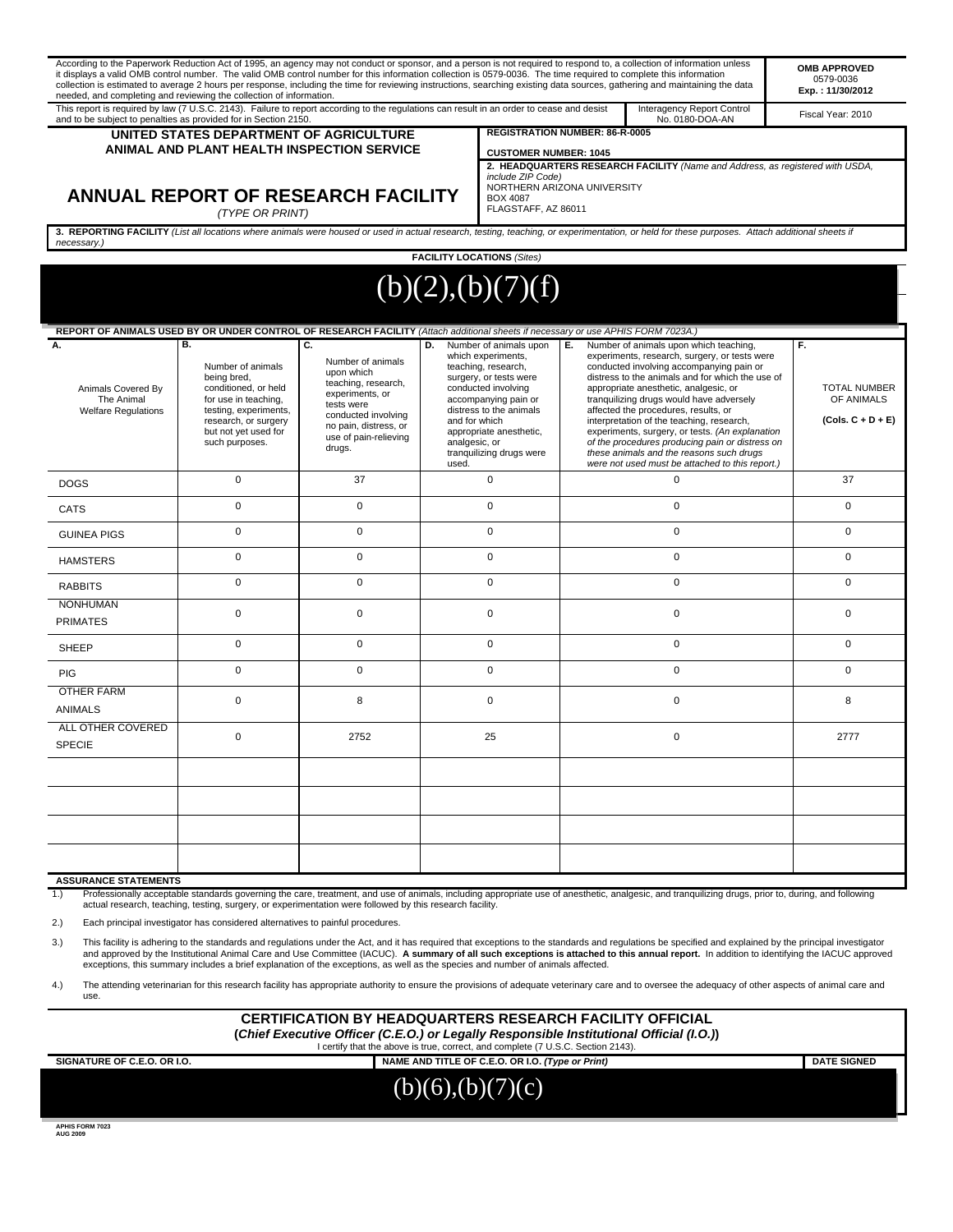|                                                                                                                                                                                                                                                               | it displays a valid OMB control number. The valid OMB control number for this information collection is 0579-0036. The time required to complete this information<br>needed, and completing and reviewing the collection of information. |                                                                                                                                                                                  |                                                                                                                                                                                                                                                                                 |                                                                                                                                                                                                             |    | According to the Paperwork Reduction Act of 1995, an agency may not conduct or sponsor, and a person is not required to respond to, a collection of information unless<br>collection is estimated to average 2 hours per response, including the time for reviewing instructions, searching existing data sources, gathering and maintaining the data                                                                                                                                                                                                                  |                   | <b>OMB APPROVED</b><br>0579-0036<br>Exp.: 11/30/2012           |
|---------------------------------------------------------------------------------------------------------------------------------------------------------------------------------------------------------------------------------------------------------------|------------------------------------------------------------------------------------------------------------------------------------------------------------------------------------------------------------------------------------------|----------------------------------------------------------------------------------------------------------------------------------------------------------------------------------|---------------------------------------------------------------------------------------------------------------------------------------------------------------------------------------------------------------------------------------------------------------------------------|-------------------------------------------------------------------------------------------------------------------------------------------------------------------------------------------------------------|----|------------------------------------------------------------------------------------------------------------------------------------------------------------------------------------------------------------------------------------------------------------------------------------------------------------------------------------------------------------------------------------------------------------------------------------------------------------------------------------------------------------------------------------------------------------------------|-------------------|----------------------------------------------------------------|
| This report is required by law (7 U.S.C. 2143). Failure to report according to the regulations can result in an order to cease and desist<br>Interagency Report Control<br>and to be subject to penalties as provided for in Section 2150.<br>No. 0180-DOA-AN |                                                                                                                                                                                                                                          |                                                                                                                                                                                  |                                                                                                                                                                                                                                                                                 |                                                                                                                                                                                                             |    |                                                                                                                                                                                                                                                                                                                                                                                                                                                                                                                                                                        | Fiscal Year: 2010 |                                                                |
| UNITED STATES DEPARTMENT OF AGRICULTURE<br>ANIMAL AND PLANT HEALTH INSPECTION SERVICE<br>ANNUAL REPORT OF RESEARCH FACILITY<br>(TYPE OR PRINT)                                                                                                                |                                                                                                                                                                                                                                          |                                                                                                                                                                                  |                                                                                                                                                                                                                                                                                 | <b>REGISTRATION NUMBER: 86-R-0005</b>                                                                                                                                                                       |    |                                                                                                                                                                                                                                                                                                                                                                                                                                                                                                                                                                        |                   |                                                                |
|                                                                                                                                                                                                                                                               |                                                                                                                                                                                                                                          |                                                                                                                                                                                  |                                                                                                                                                                                                                                                                                 | <b>CUSTOMER NUMBER: 1045</b><br>2. HEADQUARTERS RESEARCH FACILITY (Name and Address, as registered with USDA,<br>include ZIP Code)<br>NORTHERN ARIZONA UNIVERSITY<br><b>BOX 4087</b><br>FLAGSTAFF, AZ 86011 |    |                                                                                                                                                                                                                                                                                                                                                                                                                                                                                                                                                                        |                   |                                                                |
| necessary.)                                                                                                                                                                                                                                                   |                                                                                                                                                                                                                                          |                                                                                                                                                                                  |                                                                                                                                                                                                                                                                                 |                                                                                                                                                                                                             |    | 3. REPORTING FACILITY (List all locations where animals were housed or used in actual research, testing, teaching, or experimentation, or held for these purposes. Attach additional sheets if                                                                                                                                                                                                                                                                                                                                                                         |                   |                                                                |
|                                                                                                                                                                                                                                                               |                                                                                                                                                                                                                                          |                                                                                                                                                                                  |                                                                                                                                                                                                                                                                                 | <b>FACILITY LOCATIONS (Sites)</b>                                                                                                                                                                           |    |                                                                                                                                                                                                                                                                                                                                                                                                                                                                                                                                                                        |                   |                                                                |
|                                                                                                                                                                                                                                                               |                                                                                                                                                                                                                                          |                                                                                                                                                                                  |                                                                                                                                                                                                                                                                                 | (b)(2),(b)(7)(f)                                                                                                                                                                                            |    |                                                                                                                                                                                                                                                                                                                                                                                                                                                                                                                                                                        |                   |                                                                |
|                                                                                                                                                                                                                                                               | REPORT OF ANIMALS USED BY OR UNDER CONTROL OF RESEARCH FACILITY (Attach additional sheets if necessary or use APHIS FORM 7023A.)                                                                                                         |                                                                                                                                                                                  |                                                                                                                                                                                                                                                                                 |                                                                                                                                                                                                             |    |                                                                                                                                                                                                                                                                                                                                                                                                                                                                                                                                                                        |                   |                                                                |
| Α.<br>Animals Covered By<br>The Animal<br><b>Welfare Regulations</b>                                                                                                                                                                                          | В.<br>Number of animals<br>being bred,<br>conditioned, or held<br>for use in teaching.<br>testing, experiments,<br>research, or surgery<br>but not yet used for<br>such purposes.                                                        | C.<br>Number of animals<br>upon which<br>teaching, research,<br>experiments, or<br>tests were<br>conducted involving<br>no pain, distress, or<br>use of pain-relieving<br>drugs. | D.<br>Number of animals upon<br>which experiments,<br>teaching, research,<br>surgery, or tests were<br>conducted involving<br>accompanying pain or<br>distress to the animals<br>and for which<br>appropriate anesthetic,<br>analgesic, or<br>tranquilizing drugs were<br>used. |                                                                                                                                                                                                             | Е. | Number of animals upon which teaching,<br>experiments, research, surgery, or tests were<br>conducted involving accompanying pain or<br>distress to the animals and for which the use of<br>appropriate anesthetic, analgesic, or<br>tranguilizing drugs would have adversely<br>affected the procedures, results, or<br>interpretation of the teaching, research,<br>experiments, surgery, or tests. (An explanation<br>of the procedures producing pain or distress on<br>these animals and the reasons such drugs<br>were not used must be attached to this report.) |                   | F.<br><b>TOTAL NUMBER</b><br>OF ANIMALS<br>$(Cols. C + D + E)$ |
| <b>DOGS</b>                                                                                                                                                                                                                                                   | $\mathbf 0$                                                                                                                                                                                                                              | 37                                                                                                                                                                               | 0                                                                                                                                                                                                                                                                               |                                                                                                                                                                                                             |    | $\mathbf 0$                                                                                                                                                                                                                                                                                                                                                                                                                                                                                                                                                            |                   | 37                                                             |
| <b>CATS</b>                                                                                                                                                                                                                                                   | $\mathbf 0$                                                                                                                                                                                                                              | $\mathbf 0$                                                                                                                                                                      | $\mathbf 0$                                                                                                                                                                                                                                                                     |                                                                                                                                                                                                             |    | $\mathbf 0$                                                                                                                                                                                                                                                                                                                                                                                                                                                                                                                                                            |                   | $\mathbf 0$                                                    |
| <b>GUINEA PIGS</b>                                                                                                                                                                                                                                            | $\mathbf 0$                                                                                                                                                                                                                              | 0                                                                                                                                                                                | $\mathbf 0$                                                                                                                                                                                                                                                                     |                                                                                                                                                                                                             |    | $\mathbf 0$                                                                                                                                                                                                                                                                                                                                                                                                                                                                                                                                                            |                   | $\mathbf 0$                                                    |
| <b>HAMSTERS</b>                                                                                                                                                                                                                                               | $\mathbf 0$                                                                                                                                                                                                                              | $\mathbf 0$                                                                                                                                                                      | 0                                                                                                                                                                                                                                                                               |                                                                                                                                                                                                             |    | $\mathbf 0$                                                                                                                                                                                                                                                                                                                                                                                                                                                                                                                                                            |                   | $\mathbf 0$                                                    |
| <b>RABBITS</b>                                                                                                                                                                                                                                                | 0                                                                                                                                                                                                                                        | $\mathbf 0$                                                                                                                                                                      | 0                                                                                                                                                                                                                                                                               |                                                                                                                                                                                                             |    | $\mathbf 0$                                                                                                                                                                                                                                                                                                                                                                                                                                                                                                                                                            |                   | $\mathbf 0$                                                    |
| <b>NONHUMAN</b><br><b>PRIMATES</b>                                                                                                                                                                                                                            | $\mathbf 0$                                                                                                                                                                                                                              | $\mathbf 0$                                                                                                                                                                      | 0                                                                                                                                                                                                                                                                               |                                                                                                                                                                                                             |    | $\mathbf 0$                                                                                                                                                                                                                                                                                                                                                                                                                                                                                                                                                            |                   | $\mathbf 0$                                                    |
| <b>SHEEP</b>                                                                                                                                                                                                                                                  | 0                                                                                                                                                                                                                                        | 0                                                                                                                                                                                | $\mathbf 0$                                                                                                                                                                                                                                                                     |                                                                                                                                                                                                             |    | $\mathbf 0$                                                                                                                                                                                                                                                                                                                                                                                                                                                                                                                                                            |                   | $\mathbf 0$                                                    |
| PIG                                                                                                                                                                                                                                                           | 0                                                                                                                                                                                                                                        | $\mathbf 0$                                                                                                                                                                      | $\mathbf 0$                                                                                                                                                                                                                                                                     |                                                                                                                                                                                                             |    | $\mathbf 0$                                                                                                                                                                                                                                                                                                                                                                                                                                                                                                                                                            |                   | $\mathbf 0$                                                    |
| <b>OTHER FARM</b><br><b>ANIMALS</b>                                                                                                                                                                                                                           | 0                                                                                                                                                                                                                                        | 8                                                                                                                                                                                | $\mathbf 0$                                                                                                                                                                                                                                                                     |                                                                                                                                                                                                             |    | $\mathbf 0$                                                                                                                                                                                                                                                                                                                                                                                                                                                                                                                                                            |                   | 8                                                              |
| ALL OTHER COVERED<br><b>SPECIE</b>                                                                                                                                                                                                                            | 0                                                                                                                                                                                                                                        | 2752                                                                                                                                                                             |                                                                                                                                                                                                                                                                                 | 25                                                                                                                                                                                                          |    | $\mathbf 0$                                                                                                                                                                                                                                                                                                                                                                                                                                                                                                                                                            |                   | 2777                                                           |
|                                                                                                                                                                                                                                                               |                                                                                                                                                                                                                                          |                                                                                                                                                                                  |                                                                                                                                                                                                                                                                                 |                                                                                                                                                                                                             |    |                                                                                                                                                                                                                                                                                                                                                                                                                                                                                                                                                                        |                   |                                                                |
|                                                                                                                                                                                                                                                               |                                                                                                                                                                                                                                          |                                                                                                                                                                                  |                                                                                                                                                                                                                                                                                 |                                                                                                                                                                                                             |    |                                                                                                                                                                                                                                                                                                                                                                                                                                                                                                                                                                        |                   |                                                                |
|                                                                                                                                                                                                                                                               |                                                                                                                                                                                                                                          |                                                                                                                                                                                  |                                                                                                                                                                                                                                                                                 |                                                                                                                                                                                                             |    |                                                                                                                                                                                                                                                                                                                                                                                                                                                                                                                                                                        |                   |                                                                |
|                                                                                                                                                                                                                                                               |                                                                                                                                                                                                                                          |                                                                                                                                                                                  |                                                                                                                                                                                                                                                                                 |                                                                                                                                                                                                             |    |                                                                                                                                                                                                                                                                                                                                                                                                                                                                                                                                                                        |                   |                                                                |
| <b>ASSURANCE STATEMENTS</b>                                                                                                                                                                                                                                   |                                                                                                                                                                                                                                          |                                                                                                                                                                                  |                                                                                                                                                                                                                                                                                 |                                                                                                                                                                                                             |    |                                                                                                                                                                                                                                                                                                                                                                                                                                                                                                                                                                        |                   |                                                                |

1.) Professionally acceptable standards governing the care, treatment, and use of animals, including appropriate use of anesthetic, analgesic, and tranquilizing drugs, prior to, during, and following actual research, teaching, testing, surgery, or experimentation were followed by this research facility.

2.) Each principal investigator has considered alternatives to painful procedures.

3.) This facility is adhering to the standards and regulations under the Act, and it has required that exceptions to the standards and regulations be specified and explained by the principal investigator and approved in th

4.) The attending veterinarian for this research facility has appropriate authority to ensure the provisions of adequate veterinary care and to oversee the adequacy of other aspects of animal care and use.

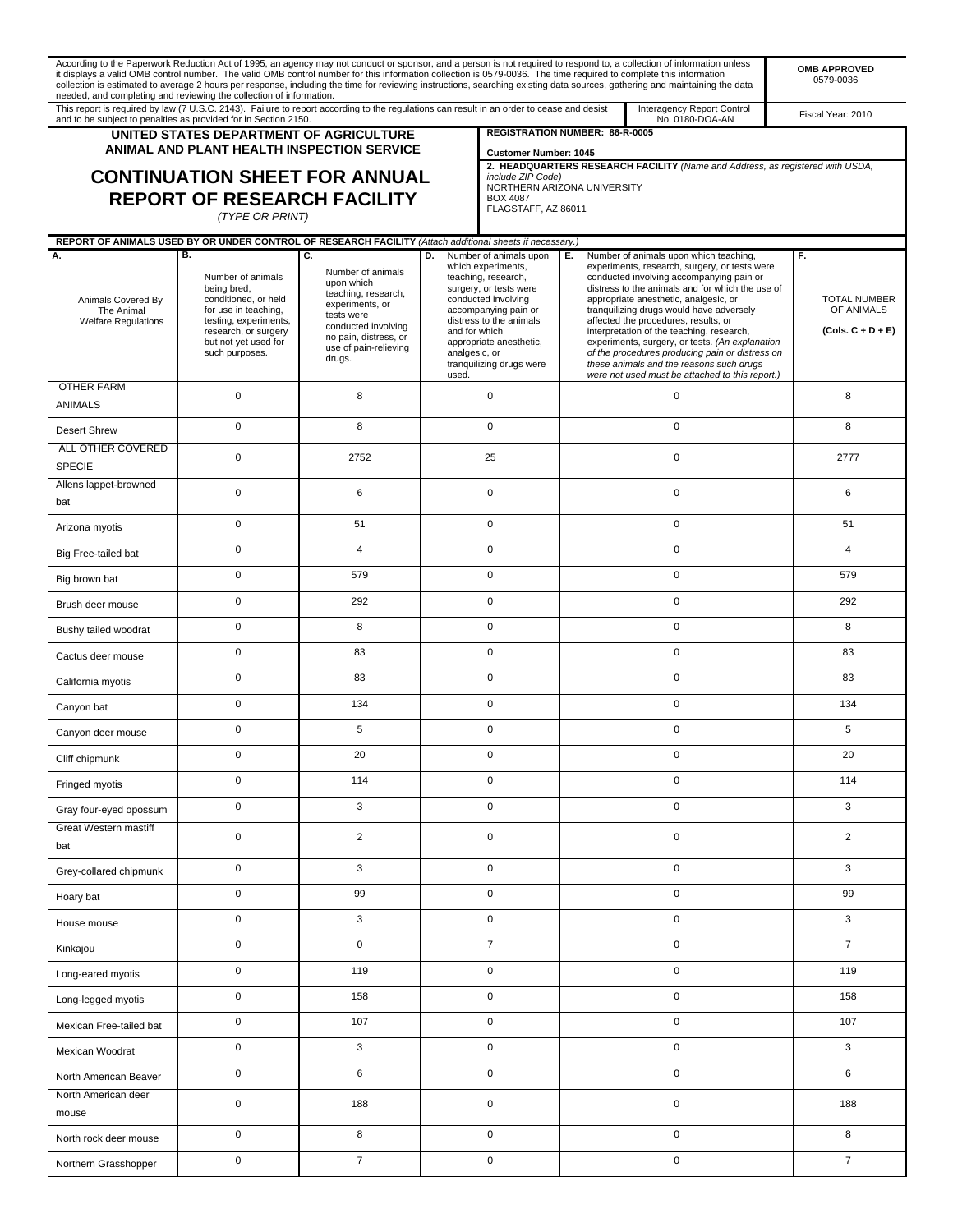|                                                                | it displays a valid OMB control number. The valid OMB control number for this information collection is 0579-0036. The time required to complete this information<br>needed, and completing and reviewing the collection of information. |                                                                                                                                                                            |                                         |                                                                                                                                                                                                                                                                                                                                                                                                                                                                                                                                                                                                                                                                                                                                      |             | According to the Paperwork Reduction Act of 1995, an agency may not conduct or sponsor, and a person is not required to respond to, a collection of information unless<br>collection is estimated to average 2 hours per response, including the time for reviewing instructions, searching existing data sources, gathering and maintaining the data |                                                          | <b>OMB APPROVED</b><br>0579-0036 |
|----------------------------------------------------------------|------------------------------------------------------------------------------------------------------------------------------------------------------------------------------------------------------------------------------------------|----------------------------------------------------------------------------------------------------------------------------------------------------------------------------|-----------------------------------------|--------------------------------------------------------------------------------------------------------------------------------------------------------------------------------------------------------------------------------------------------------------------------------------------------------------------------------------------------------------------------------------------------------------------------------------------------------------------------------------------------------------------------------------------------------------------------------------------------------------------------------------------------------------------------------------------------------------------------------------|-------------|-------------------------------------------------------------------------------------------------------------------------------------------------------------------------------------------------------------------------------------------------------------------------------------------------------------------------------------------------------|----------------------------------------------------------|----------------------------------|
|                                                                | This report is required by law (7 U.S.C. 2143). Failure to report according to the regulations can result in an order to cease and desist<br>and to be subject to penalties as provided for in Section 2150.                             |                                                                                                                                                                            |                                         |                                                                                                                                                                                                                                                                                                                                                                                                                                                                                                                                                                                                                                                                                                                                      |             | Interagency Report Control<br>No. 0180-DOA-AN                                                                                                                                                                                                                                                                                                         |                                                          | Fiscal Year: 2010                |
|                                                                | UNITED STATES DEPARTMENT OF AGRICULTURE<br><b>ANIMAL AND PLANT HEALTH INSPECTION SERVICE</b>                                                                                                                                             |                                                                                                                                                                            |                                         | REGISTRATION NUMBER: 86-R-0005<br><b>Customer Number: 1045</b>                                                                                                                                                                                                                                                                                                                                                                                                                                                                                                                                                                                                                                                                       |             |                                                                                                                                                                                                                                                                                                                                                       |                                                          |                                  |
|                                                                | <b>CONTINUATION SHEET FOR ANNUAL</b><br><b>REPORT OF RESEARCH FACILITY</b><br>(TYPE OR PRINT)                                                                                                                                            |                                                                                                                                                                            |                                         | include ZIP Code)<br>NORTHERN ARIZONA UNIVERSITY<br><b>BOX 4087</b><br>FLAGSTAFF, AZ 86011                                                                                                                                                                                                                                                                                                                                                                                                                                                                                                                                                                                                                                           |             | 2. HEADQUARTERS RESEARCH FACILITY (Name and Address, as registered with USDA,                                                                                                                                                                                                                                                                         |                                                          |                                  |
| А.                                                             | REPORT OF ANIMALS USED BY OR UNDER CONTROL OF RESEARCH FACILITY (Attach additional sheets if necessary.)<br>В.                                                                                                                           | C.                                                                                                                                                                         | D.                                      | Number of animals upon                                                                                                                                                                                                                                                                                                                                                                                                                                                                                                                                                                                                                                                                                                               | Е.          | Number of animals upon which teaching,                                                                                                                                                                                                                                                                                                                |                                                          | F.                               |
| Animals Covered By<br>The Animal<br><b>Welfare Regulations</b> | Number of animals<br>being bred,<br>conditioned, or held<br>for use in teaching,<br>testing, experiments,<br>research, or surgery<br>but not yet used for<br>such purposes.                                                              | Number of animals<br>upon which<br>teaching, research,<br>experiments, or<br>tests were<br>conducted involving<br>no pain, distress, or<br>use of pain-relieving<br>drugs. | and for which<br>analgesic, or<br>used. | which experiments,<br>experiments, research, surgery, or tests were<br>teaching, research,<br>conducted involving accompanying pain or<br>surgery, or tests were<br>distress to the animals and for which the use of<br>appropriate anesthetic, analgesic, or<br>conducted involving<br>accompanying pain or<br>tranquilizing drugs would have adversely<br>distress to the animals<br>affected the procedures, results, or<br>interpretation of the teaching, research,<br>experiments, surgery, or tests. (An explanation<br>appropriate anesthetic,<br>of the procedures producing pain or distress on<br>these animals and the reasons such drugs<br>tranquilizing drugs were<br>were not used must be attached to this report.) |             |                                                                                                                                                                                                                                                                                                                                                       | <b>TOTAL NUMBER</b><br>OF ANIMALS<br>$(Cols. C + D + E)$ |                                  |
| <b>OTHER FARM</b><br><b>ANIMALS</b>                            | 0                                                                                                                                                                                                                                        | 8                                                                                                                                                                          |                                         | $\pmb{0}$                                                                                                                                                                                                                                                                                                                                                                                                                                                                                                                                                                                                                                                                                                                            | 0           |                                                                                                                                                                                                                                                                                                                                                       |                                                          | 8                                |
| <b>Desert Shrew</b>                                            | 0                                                                                                                                                                                                                                        | 8                                                                                                                                                                          |                                         | $\pmb{0}$                                                                                                                                                                                                                                                                                                                                                                                                                                                                                                                                                                                                                                                                                                                            | $\pmb{0}$   |                                                                                                                                                                                                                                                                                                                                                       |                                                          | 8                                |
| ALL OTHER COVERED<br><b>SPECIE</b>                             | 0                                                                                                                                                                                                                                        | 2752                                                                                                                                                                       |                                         | 25                                                                                                                                                                                                                                                                                                                                                                                                                                                                                                                                                                                                                                                                                                                                   |             | $\pmb{0}$                                                                                                                                                                                                                                                                                                                                             |                                                          | 2777                             |
| Allens lappet-browned<br>bat                                   | $\pmb{0}$                                                                                                                                                                                                                                | 6                                                                                                                                                                          |                                         | $\pmb{0}$                                                                                                                                                                                                                                                                                                                                                                                                                                                                                                                                                                                                                                                                                                                            | $\pmb{0}$   |                                                                                                                                                                                                                                                                                                                                                       |                                                          | 6                                |
| Arizona myotis                                                 | 0                                                                                                                                                                                                                                        | 51                                                                                                                                                                         |                                         | $\mathbf 0$                                                                                                                                                                                                                                                                                                                                                                                                                                                                                                                                                                                                                                                                                                                          | $\mathbf 0$ |                                                                                                                                                                                                                                                                                                                                                       |                                                          | 51                               |
| Big Free-tailed bat                                            | 0                                                                                                                                                                                                                                        | $\overline{4}$                                                                                                                                                             |                                         | 0                                                                                                                                                                                                                                                                                                                                                                                                                                                                                                                                                                                                                                                                                                                                    | 0           |                                                                                                                                                                                                                                                                                                                                                       |                                                          | $\overline{4}$                   |
| Big brown bat                                                  | 0                                                                                                                                                                                                                                        | 579                                                                                                                                                                        |                                         | $\pmb{0}$                                                                                                                                                                                                                                                                                                                                                                                                                                                                                                                                                                                                                                                                                                                            | $\pmb{0}$   |                                                                                                                                                                                                                                                                                                                                                       |                                                          | 579                              |
| Brush deer mouse                                               | 0                                                                                                                                                                                                                                        | 292                                                                                                                                                                        |                                         | 0                                                                                                                                                                                                                                                                                                                                                                                                                                                                                                                                                                                                                                                                                                                                    | $\mathbf 0$ |                                                                                                                                                                                                                                                                                                                                                       |                                                          | 292                              |
| Bushy tailed woodrat                                           | 0                                                                                                                                                                                                                                        | 8                                                                                                                                                                          |                                         | $\mathbf 0$                                                                                                                                                                                                                                                                                                                                                                                                                                                                                                                                                                                                                                                                                                                          | $\mathbf 0$ |                                                                                                                                                                                                                                                                                                                                                       |                                                          | 8                                |
| Cactus deer mouse                                              | 0                                                                                                                                                                                                                                        | 83                                                                                                                                                                         |                                         | 0                                                                                                                                                                                                                                                                                                                                                                                                                                                                                                                                                                                                                                                                                                                                    | 0           |                                                                                                                                                                                                                                                                                                                                                       | 83                                                       |                                  |
| California myotis                                              | 0                                                                                                                                                                                                                                        | 83                                                                                                                                                                         |                                         | 0                                                                                                                                                                                                                                                                                                                                                                                                                                                                                                                                                                                                                                                                                                                                    | 0           |                                                                                                                                                                                                                                                                                                                                                       |                                                          | 83                               |
| Canyon bat                                                     | 0                                                                                                                                                                                                                                        | 134                                                                                                                                                                        |                                         | 0                                                                                                                                                                                                                                                                                                                                                                                                                                                                                                                                                                                                                                                                                                                                    | 0           |                                                                                                                                                                                                                                                                                                                                                       | 134                                                      |                                  |
| Canyon deer mouse                                              | 0                                                                                                                                                                                                                                        | 5                                                                                                                                                                          |                                         | $\mathbf 0$                                                                                                                                                                                                                                                                                                                                                                                                                                                                                                                                                                                                                                                                                                                          | $\mathbf 0$ |                                                                                                                                                                                                                                                                                                                                                       |                                                          | 5                                |
| Cliff chipmunk                                                 | $\Omega$                                                                                                                                                                                                                                 | 20                                                                                                                                                                         |                                         | 0                                                                                                                                                                                                                                                                                                                                                                                                                                                                                                                                                                                                                                                                                                                                    | 0           |                                                                                                                                                                                                                                                                                                                                                       | 20                                                       |                                  |
| Fringed myotis                                                 | 0                                                                                                                                                                                                                                        | 114                                                                                                                                                                        |                                         | 0                                                                                                                                                                                                                                                                                                                                                                                                                                                                                                                                                                                                                                                                                                                                    | 0           |                                                                                                                                                                                                                                                                                                                                                       |                                                          | 114                              |
| Gray four-eyed opossum                                         | 0                                                                                                                                                                                                                                        | 3                                                                                                                                                                          |                                         | 0                                                                                                                                                                                                                                                                                                                                                                                                                                                                                                                                                                                                                                                                                                                                    | 0           |                                                                                                                                                                                                                                                                                                                                                       | 3                                                        |                                  |
| Great Western mastiff<br>bat                                   | $\pmb{0}$                                                                                                                                                                                                                                | $\overline{c}$                                                                                                                                                             |                                         | $\pmb{0}$                                                                                                                                                                                                                                                                                                                                                                                                                                                                                                                                                                                                                                                                                                                            | 0           |                                                                                                                                                                                                                                                                                                                                                       |                                                          | $\overline{2}$                   |
| Grey-collared chipmunk                                         | 0                                                                                                                                                                                                                                        | 3                                                                                                                                                                          |                                         | 0                                                                                                                                                                                                                                                                                                                                                                                                                                                                                                                                                                                                                                                                                                                                    | $\pmb{0}$   |                                                                                                                                                                                                                                                                                                                                                       | 3                                                        |                                  |
| Hoary bat                                                      | 0                                                                                                                                                                                                                                        | 99                                                                                                                                                                         |                                         | 0                                                                                                                                                                                                                                                                                                                                                                                                                                                                                                                                                                                                                                                                                                                                    | 0           |                                                                                                                                                                                                                                                                                                                                                       | 99                                                       |                                  |
| House mouse                                                    | 0                                                                                                                                                                                                                                        | 3                                                                                                                                                                          |                                         | 0                                                                                                                                                                                                                                                                                                                                                                                                                                                                                                                                                                                                                                                                                                                                    | 0           |                                                                                                                                                                                                                                                                                                                                                       | 3                                                        |                                  |
| Kinkajou                                                       | 0                                                                                                                                                                                                                                        | $\mathbf 0$                                                                                                                                                                |                                         | $\overline{7}$                                                                                                                                                                                                                                                                                                                                                                                                                                                                                                                                                                                                                                                                                                                       | $\mathbf 0$ |                                                                                                                                                                                                                                                                                                                                                       | $\overline{7}$                                           |                                  |
| Long-eared myotis                                              | 0                                                                                                                                                                                                                                        | 119                                                                                                                                                                        |                                         | 0                                                                                                                                                                                                                                                                                                                                                                                                                                                                                                                                                                                                                                                                                                                                    | 0           |                                                                                                                                                                                                                                                                                                                                                       |                                                          | 119                              |
| Long-legged myotis                                             | 0                                                                                                                                                                                                                                        | 158                                                                                                                                                                        |                                         | 0                                                                                                                                                                                                                                                                                                                                                                                                                                                                                                                                                                                                                                                                                                                                    | $\pmb{0}$   |                                                                                                                                                                                                                                                                                                                                                       |                                                          | 158                              |
| Mexican Free-tailed bat                                        | 0                                                                                                                                                                                                                                        | 107                                                                                                                                                                        |                                         | 0                                                                                                                                                                                                                                                                                                                                                                                                                                                                                                                                                                                                                                                                                                                                    | 0           |                                                                                                                                                                                                                                                                                                                                                       | 107                                                      |                                  |
| Mexican Woodrat                                                | 0                                                                                                                                                                                                                                        | 3                                                                                                                                                                          |                                         | $\mathbf 0$                                                                                                                                                                                                                                                                                                                                                                                                                                                                                                                                                                                                                                                                                                                          | $\mathbf 0$ |                                                                                                                                                                                                                                                                                                                                                       |                                                          | 3                                |
| North American Beaver                                          | 0                                                                                                                                                                                                                                        | 6                                                                                                                                                                          |                                         | 0                                                                                                                                                                                                                                                                                                                                                                                                                                                                                                                                                                                                                                                                                                                                    | 0           |                                                                                                                                                                                                                                                                                                                                                       | 6                                                        |                                  |
| North American deer<br>mouse                                   | 0                                                                                                                                                                                                                                        | 188                                                                                                                                                                        |                                         | $\pmb{0}$                                                                                                                                                                                                                                                                                                                                                                                                                                                                                                                                                                                                                                                                                                                            | $\pmb{0}$   |                                                                                                                                                                                                                                                                                                                                                       | 188                                                      |                                  |
| North rock deer mouse                                          | 0                                                                                                                                                                                                                                        | 8                                                                                                                                                                          |                                         | 0                                                                                                                                                                                                                                                                                                                                                                                                                                                                                                                                                                                                                                                                                                                                    |             | 0                                                                                                                                                                                                                                                                                                                                                     |                                                          | 8                                |
| Northern Grasshopper                                           | 0                                                                                                                                                                                                                                        | $\overline{7}$                                                                                                                                                             |                                         | 0                                                                                                                                                                                                                                                                                                                                                                                                                                                                                                                                                                                                                                                                                                                                    |             | $\pmb{0}$                                                                                                                                                                                                                                                                                                                                             |                                                          | $\overline{7}$                   |